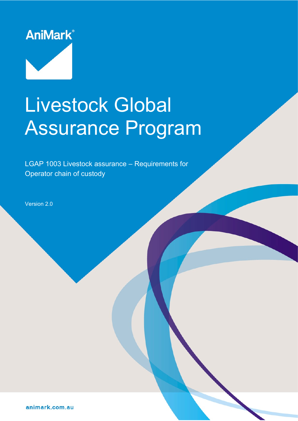

# Livestock Global Assurance Program

LGAP 1003 Livestock assurance – Requirements for Operator chain of custody

Document reference: LGAP-1001-2021 Operative date: 01 November 2021 Page: 1 of 9

Version: 2.0 Approved by: AniMark Board

Version 2.0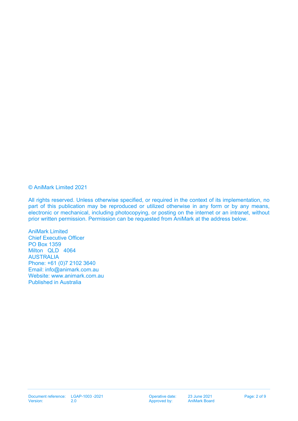© AniMark Limited 2021

All rights reserved. Unless otherwise specified, or required in the context of its implementation, no part of this publication may be reproduced or utilized otherwise in any form or by any means. electronic or mechanical, including photocopying, or posting on the internet or an intranet, without prior written permission. Permission can be requested from AniMark at the address below.

AniMark Limited Chief Executive Officer PO Box 1359 Milton QLD 4064 AUSTRALIA Phone: +61 (0)7 2102 3640 Email: [info@animark.com.au](mailto:info@animark.com.au) Website: [www.animark.com.au](http://www.animark.com.au/) Published in Australia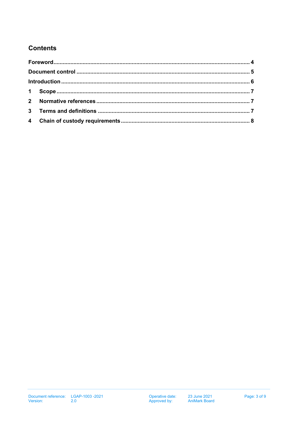## **Contents**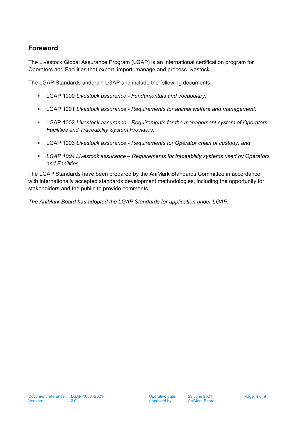## <span id="page-3-0"></span>**Foreword**

The Livestock Global Assurance Program (LGAP) is an international certification program for Operators and Facilities that export, import, manage and process livestock.

The LGAP Standards underpin LGAP and include the following documents:

- LGAP 1000 *Livestock assurance - Fundamentals and vocabulary;*
- LGAP 1001 *Livestock assurance - Requirements for animal welfare and management;*
- LGAP 1002 *Livestock assurance - Requirements for the management system of Operators, Facilities and Traceability System Providers;*
- LGAP 1003 *Livestock assurance - Requirements for Operator chain of custody; and*
- *LGAP 1004 Livestock assurance – Requirements for traceability systems used by Operators and Facilities.*

The LGAP Standards have been prepared by the AniMark Standards Committee in accordance with internationally accepted standards development methodologies, including the opportunity for stakeholders and the public to provide comments.

*The AniMark Board has adopted the LGAP Standards for application under LGAP.*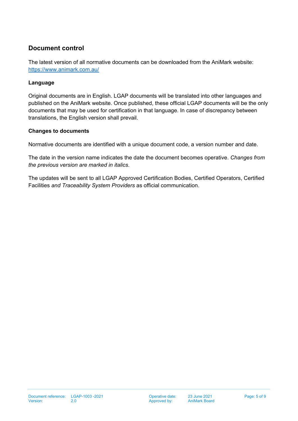## <span id="page-4-0"></span>**Document control**

The latest version of all normative documents can be downloaded from the AniMark website: <https://www.animark.com.au/>

#### **Language**

Original documents are in English. LGAP documents will be translated into other languages and published on the AniMark website. Once published, these official LGAP documents will be the only documents that may be used for certification in that language. In case of discrepancy between translations, the English version shall prevail.

#### **Changes to documents**

Normative documents are identified with a unique document code, a version number and date.

The date in the version name indicates the date the document becomes operative. *Changes from the previous version are marked in italics.*

The updates will be sent to all LGAP Approved Certification Bodies, Certified Operators, Certified Facilities *and Traceability System Providers* as official communication.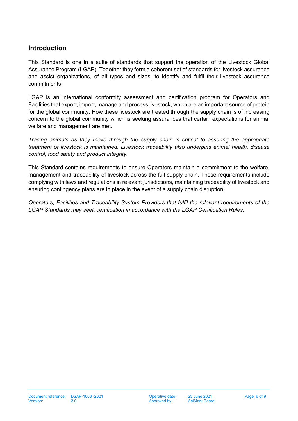#### <span id="page-5-0"></span>**Introduction**

This Standard is one in a suite of standards that support the operation of the Livestock Global Assurance Program (LGAP). Together they form a coherent set of standards for livestock assurance and assist organizations, of all types and sizes, to identify and fulfil their livestock assurance commitments.

LGAP is an international conformity assessment and certification program for Operators and Facilities that export, import, manage and process livestock, which are an important source of protein for the global community. How these livestock are treated through the supply chain is of increasing concern to the global community which is seeking assurances that certain expectations for animal welfare and management are met.

*Tracing animals as they move through the supply chain is critical to assuring the appropriate treatment of livestock is maintained. Livestock traceability also underpins animal health, disease control, food safety and product integrity.*

This Standard contains requirements to ensure Operators maintain a commitment to the welfare, management and traceability of livestock across the full supply chain. These requirements include complying with laws and regulations in relevant jurisdictions, maintaining traceability of livestock and ensuring contingency plans are in place in the event of a supply chain disruption.

*Operators, Facilities and Traceability System Providers that fulfil the relevant requirements of the LGAP Standards may seek certification in accordance with the LGAP Certification Rules.*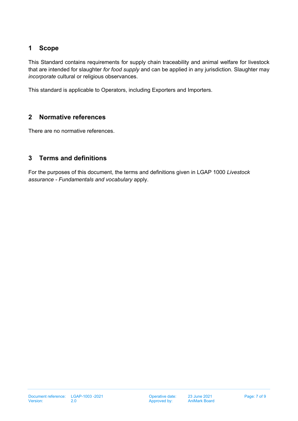### <span id="page-6-0"></span>**1 Scope**

This Standard contains requirements for supply chain traceability and animal welfare for livestock that are intended for slaughter *for food supply* and can be applied in any jurisdiction. Slaughter may *incorporate* cultural or religious observances.

This standard is applicable to Operators, including Exporters and Importers.

#### <span id="page-6-1"></span>**2 Normative references**

There are no normative references.

### <span id="page-6-2"></span>**3 Terms and definitions**

For the purposes of this document, the terms and definitions given in LGAP 1000 *Livestock assurance - Fundamentals and vocabulary* apply.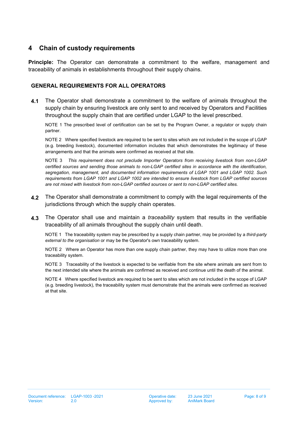#### <span id="page-7-0"></span>**4 Chain of custody requirements**

**Principle:** The Operator can demonstrate a commitment to the welfare, management and traceability of animals in establishments throughout their supply chains.

#### **GENERAL REQUIREMENTS FOR ALL OPERATORS**

**4.1** The Operator shall demonstrate a commitment to the welfare of animals throughout the supply chain by ensuring livestock are only sent to and received by Operators and Facilities throughout the supply chain that are certified under LGAP to the level prescribed.

NOTE 1 The prescribed level of certification can be set by the Program Owner, a regulator or supply chain partner.

NOTE 2 Where specified livestock are required to be sent to sites which are not included in the scope of LGAP (e.g. breeding livestock), documented information includes that which demonstrates the legitimacy of these arrangements and that the animals were confirmed as received at that site.

NOTE 3 *This requirement does not preclude Importer Operators from receiving livestock from non-LGAP certified sources and sending those animals to non-LGAP certified sites in accordance with the identification, segregation, management, and documented information requirements of LGAP 1001 and LGAP 1002. Such requirements from LGAP 1001 and LGAP 1002 are intended to ensure livestock from LGAP certified sources are not mixed with livestock from non-LGAP certified sources or sent to non-LGAP certified sites.*

- **4.2** The Operator shall demonstrate a commitment to comply with the legal requirements of the jurisdictions through which the supply chain operates.
- **4.3** The Operator shall use and maintain a *traceability* system that results in the verifiable traceability of all animals throughout the supply chain until death.

NOTE 1 The traceability system may be prescribed by a supply chain partner, may be provided by a *third-party external to the organisation* or may be the Operator's own traceability system.

NOTE 2 Where an Operator has more than one supply chain partner, they may have to utilize more than one traceability system.

NOTE 3 Traceability of the livestock is expected to be verifiable from the site where animals are sent from to the next intended site where the animals are confirmed as received and continue until the death of the animal.

NOTE 4 Where specified livestock are required to be sent to sites which are not included in the scope of LGAP (e.g. breeding livestock), the traceability system must demonstrate that the animals were confirmed as received at that site.